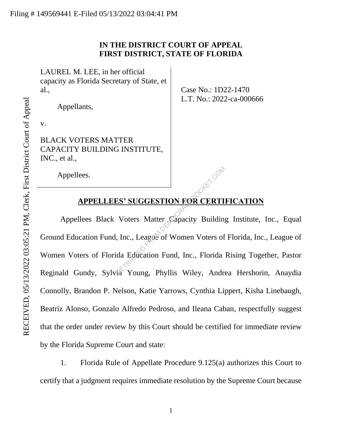## **IN THE DISTRICT COURT OF APPEAL FIRST DISTRICT, STATE OF FLORIDA**

LAUREL M. LEE, in her official capacity as Florida Secretary of State, et al.,

Appellants,

v.

BLACK VOTERS MATTER CAPACITY BUILDING INSTITUTE, INC., et al.,

Case No.: 1D22-1470 L.T. No.: 2022-ca-000666

Appellees.

# **APPELLEES' SUGGESTION FOR CERTIFICATION**

Appellees Black Voters Matter Capacity Building Institute, Inc., Equal Ground Education Fund, Inc., League of Women Voters of Florida, Inc., League of Women Voters of Florida Education Fund, Inc., Florida Rising Together, Pastor Reginald Gundy, Sylvia Young, Phyllis Wiley, Andrea Hershorin, Anaydia Connolly, Brandon P. Nelson, Katie Yarrows, Cynthia Lippert, Kisha Linebaugh, Beatriz Alonso, Gonzalo Alfredo Pedroso, and Ileana Caban, respectfully suggest that the order under review by this Court should be certified for immediate review by the Florida Supreme Court and state: ES' SUGGESTION FOR CERTI<br>Voters Matter Capacity Building<br>Inc., League of Women Voters of<br>da Education Fund, Inc., Florida<br>Ta Young, Phyllis Wiley, Andre

1. Florida Rule of Appellate Procedure 9.125(a) authorizes this Court to certify that a judgment requires immediate resolution by the Supreme Court because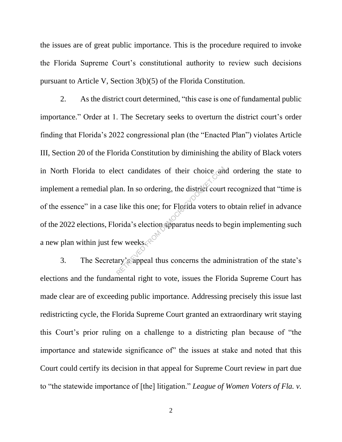the issues are of great public importance. This is the procedure required to invoke the Florida Supreme Court's constitutional authority to review such decisions pursuant to Article V, Section 3(b)(5) of the Florida Constitution.

2. As the district court determined, "this case is one of fundamental public importance." Order at 1. The Secretary seeks to overturn the district court's order finding that Florida's 2022 congressional plan (the "Enacted Plan") violates Article III, Section 20 of the Florida Constitution by diminishing the ability of Black voters in North Florida to elect candidates of their choice and ordering the state to implement a remedial plan. In so ordering, the district court recognized that "time is of the essence" in a case like this one; for Florida voters to obtain relief in advance of the 2022 elections, Florida's election apparatus needs to begin implementing such a new plan within just few weeks. $\mathcal{R}$ ect candidates of their choice and<br>an. In so ordering, the district court<br>bilities this one; for Florida voters to<br>prida's election apparatus needs to b<br>ew weeks

3. The Secretary's appeal thus concerns the administration of the state's elections and the fundamental right to vote, issues the Florida Supreme Court has made clear are of exceeding public importance. Addressing precisely this issue last redistricting cycle, the Florida Supreme Court granted an extraordinary writ staying this Court's prior ruling on a challenge to a districting plan because of "the importance and statewide significance of" the issues at stake and noted that this Court could certify its decision in that appeal for Supreme Court review in part due to "the statewide importance of [the] litigation." *League of Women Voters of Fla. v.*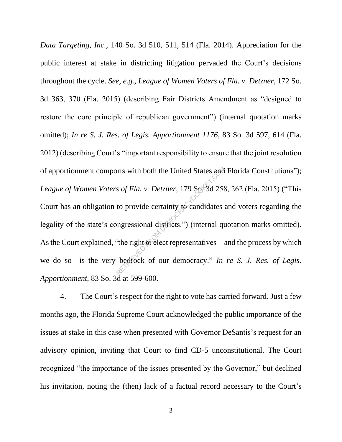*Data Targeting, Inc.*, 140 So. 3d 510, 511, 514 (Fla. 2014). Appreciation for the public interest at stake in districting litigation pervaded the Court's decisions throughout the cycle. *See, e.g.*, *League of Women Voters of Fla. v. Detzner*, 172 So. 3d 363, 370 (Fla. 2015) (describing Fair Districts Amendment as "designed to restore the core principle of republican government") (internal quotation marks omitted); *In re S. J. Res. of Legis. Apportionment 1176*, 83 So. 3d 597, 614 (Fla. 2012) (describing Court's "important responsibility to ensure that the joint resolution of apportionment comports with both the United States and Florida Constitutions"); *League of Women Voters of Fla. v. Detzner*, 179 So. 3d 258, 262 (Fla. 2015) ("This Court has an obligation to provide certainty to candidates and voters regarding the legality of the state's congressional districts.") (internal quotation marks omitted). As the Court explained, "the right to elect representatives—and the process by which we do so—is the very bedrock of our democracy." *In re S. J. Res. of Legis. Apportionment*, 83 So. 3d at 599-600. The United States and<br>
States of Fla. v. Detzner, 179 So. 3d 258<br>
to provide certainty to candidates<br>
impressional districts.") (internal quoriding to elect representatives—a<br>
bedrock of our democracy." In

4. The Court's respect for the right to vote has carried forward. Just a few months ago, the Florida Supreme Court acknowledged the public importance of the issues at stake in this case when presented with Governor DeSantis's request for an advisory opinion, inviting that Court to find CD-5 unconstitutional. The Court recognized "the importance of the issues presented by the Governor," but declined his invitation, noting the (then) lack of a factual record necessary to the Court's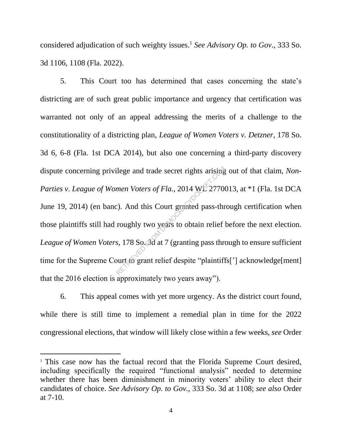considered adjudication of such weighty issues. <sup>1</sup> *See Advisory Op. to Gov*., 333 So. 3d 1106, 1108 (Fla. 2022).

5. This Court too has determined that cases concerning the state's districting are of such great public importance and urgency that certification was warranted not only of an appeal addressing the merits of a challenge to the constitutionality of a districting plan, *League of Women Voters v. Detzner*, 178 So. 3d 6, 6-8 (Fla. 1st DCA 2014), but also one concerning a third-party discovery dispute concerning privilege and trade secret rights arising out of that claim, *Non-Parties v. League of Women Voters of Fla.*, 2014 WL 2770013, at \*1 (Fla. 1st DCA June 19, 2014) (en banc). And this Court granted pass-through certification when those plaintiffs still had roughly two years to obtain relief before the next election. *League of Women Voters*, 178 So. 3d at 7 (granting pass through to ensure sufficient time for the Supreme Court to grant relief despite "plaintiffs['] acknowledge[ment] that the 2016 election is approximately two years away"). Solved and trade secret rights arising<br>the Voters of Fla., 2014 WE 2770<br>(c). And this Court granted pass-throughly two years to obtain relief<br>s, 178 So. So at 7 (granting pass throughts of grant relief despite "plaintiff

6. This appeal comes with yet more urgency. As the district court found, while there is still time to implement a remedial plan in time for the 2022 congressional elections, that window will likely close within a few weeks, *see* Order

<sup>1</sup> This case now has the factual record that the Florida Supreme Court desired, including specifically the required "functional analysis" needed to determine whether there has been diminishment in minority voters' ability to elect their candidates of choice. *See Advisory Op. to Gov.*, 333 So. 3d at 1108; *see also* Order at 7-10.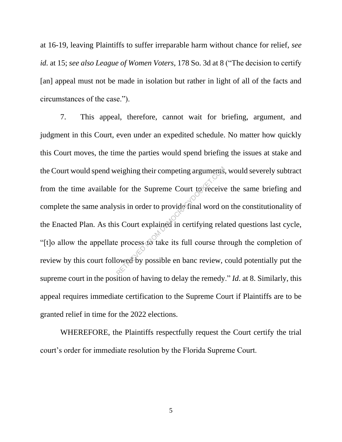at 16-19, leaving Plaintiffs to suffer irreparable harm without chance for relief, *see id.* at 15; *see also League of Women Voters*, 178 So. 3d at 8 ("The decision to certify [an] appeal must not be made in isolation but rather in light of all of the facts and circumstances of the case.").

7. This appeal, therefore, cannot wait for briefing, argument, and judgment in this Court, even under an expedited schedule. No matter how quickly this Court moves, the time the parties would spend briefing the issues at stake and the Court would spend weighing their competing arguments, would severely subtract from the time available for the Supreme Court to receive the same briefing and complete the same analysis in order to provide final word on the constitutionality of the Enacted Plan. As this Court explained in certifying related questions last cycle, "[t]o allow the appellate process to take its full course through the completion of review by this court followed by possible en banc review, could potentially put the supreme court in the position of having to delay the remedy." *Id*. at 8. Similarly, this appeal requires immediate certification to the Supreme Court if Plaintiffs are to be granted relief in time for the 2022 elections. reighing their competing arguments.<br>
for the Supreme Court to receive<br>
rsis in order to provide final word of<br>
s Court explained in certifying rela<br>
e process to take its full course the<br>
owed by possible en banc review,

WHEREFORE, the Plaintiffs respectfully request the Court certify the trial court's order for immediate resolution by the Florida Supreme Court.

5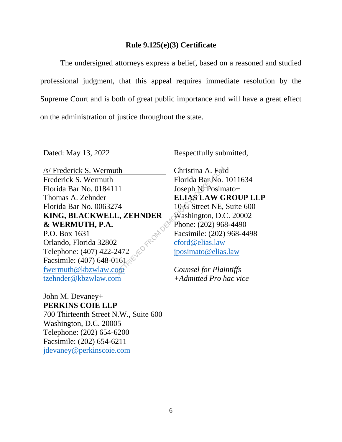#### **Rule 9.125(e)(3) Certificate**

The undersigned attorneys express a belief, based on a reasoned and studied professional judgment, that this appeal requires immediate resolution by the Supreme Court and is both of great public importance and will have a great effect on the administration of justice throughout the state.

/s/ Frederick S. Wermuth Frederick S. Wermuth Florida Bar No. 0184111 Thomas A. Zehnder Florida Bar No. 0063274 **KING, BLACKWELL, ZEHNDER & WERMUTH, P.A.** P.O. Box 1631 Orlando, Florida 32802 Telephone: (407) 422-2472 Facsimile: (407) 648-0161 fwermuth@kbzwlaw.com tzehnder@kbzwlaw.com th<br>
The Christina A. For<br>
Florida Bar No.<br>
10 Seph N. Posim<br>
ELIAS LAW G<br>
10 S Street NE,<br>
L, ZEHNDER Washington, D.C<br>
Phone: (202) 96<br>
Facsimile: (202)<br>
Facsimile: (202)<br>
cford@elias.law<br>
iposimato@elias<br>
Counsel for Pla

Dated: May 13, 2022 Respectfully submitted,

Christina A. Ford Florida Bar No. 1011634 Joseph N. Posimato+ **ELIAS LAW GROUP LLP** 10 G Street NE, Suite 600 Washington, D.C. 20002 Phone: (202) 968-4490 Facsimile: (202) 968-4498 cford@elias.law jposimato@elias.law

*Counsel for Plaintiffs +Admitted Pro hac vice*

John M. Devaney+ **PERKINS COIE LLP** 700 Thirteenth Street N.W., Suite 600 Washington, D.C. 20005 Telephone: (202) 654-6200 Facsimile: (202) 654-6211 jdevaney@perkinscoie.com